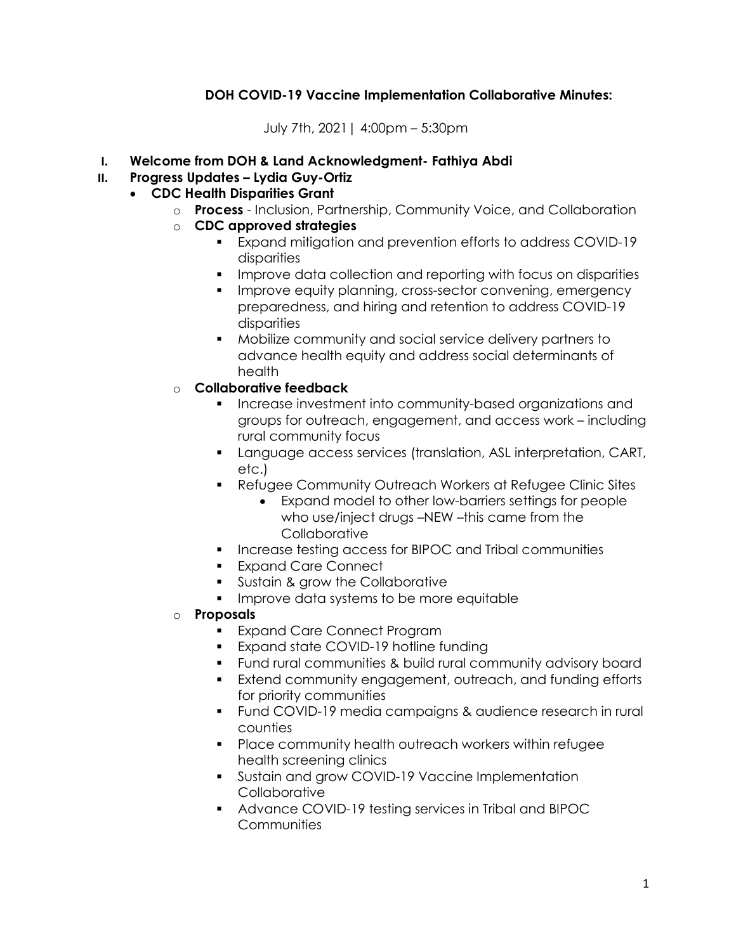# DOH COVID-19 Vaccine Implementation Collaborative Minutes:

July 7th, 2021| 4:00pm – 5:30pm

### I. Welcome from DOH & Land Acknowledgment- Fathiya Abdi

## II. Progress Updates – Lydia Guy-Ortiz

## CDC Health Disparities Grant

- o Process Inclusion, Partnership, Community Voice, and Collaboration
- o CDC approved strategies
	- Expand mitigation and prevention efforts to address COVID-19 disparities
	- **IMPROVE data collection and reporting with focus on disparities**
	- **Improve equity planning, cross-sector convening, emergency** preparedness, and hiring and retention to address COVID-19 disparities
	- Mobilize community and social service delivery partners to advance health equity and address social determinants of health
- o Collaborative feedback
	- **Increase investment into community-based organizations and** groups for outreach, engagement, and access work – including rural community focus
	- Language access services (translation, ASL interpretation, CART, etc.)
	- **EXECTED EXECTED EXECTED FIGGS** Poince Clinic Sites
		- Expand model to other low-barriers settings for people who use/inject drugs –NEW –this came from the **Collaborative**
	- **Increase testing access for BIPOC and Tribal communities**
	- **Expand Care Connect**
	- **Sustain & grow the Collaborative**
	- **IMPROVE data systems to be more equitable**
- o Proposals
	- **Expand Care Connect Program**
	- **Expand state COVID-19 hotline funding**
	- Fund rural communities & build rural community advisory board
	- **Extend community engagement, outreach, and funding efforts** for priority communities
	- Fund COVID-19 media campaigns & audience research in rural counties
	- Place community health outreach workers within refugee health screening clinics
	- **Sustain and grow COVID-19 Vaccine Implementation Collaborative**
	- Advance COVID-19 testing services in Tribal and BIPOC **Communities**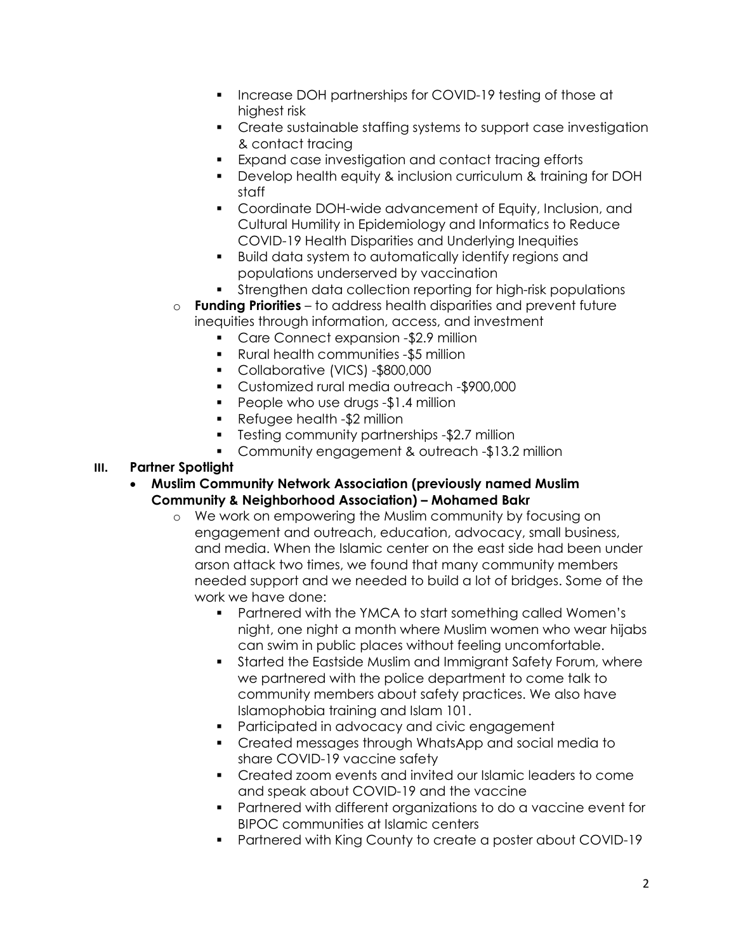- **Increase DOH partnerships for COVID-19 testing of those at** highest risk
- Create sustainable staffing systems to support case investigation & contact tracing
- Expand case investigation and contact tracing efforts
- Develop health equity & inclusion curriculum & training for DOH staff
- Coordinate DOH-wide advancement of Equity, Inclusion, and Cultural Humility in Epidemiology and Informatics to Reduce COVID-19 Health Disparities and Underlying Inequities
- Build data system to automatically identify regions and populations underserved by vaccination
- Strengthen data collection reporting for high-risk populations
- o Funding Priorities to address health disparities and prevent future inequities through information, access, and investment
	- **Care Connect expansion -\$2.9 million**
	- Rural health communities -\$5 million
	- Collaborative (VICS) -\$800,000
	- Customized rural media outreach -\$900,000
	- **People who use drugs -\$1.4 million**
	- Refugee health -\$2 million
	- **Testing community partnerships -\$2.7 million**
	- Community engagement & outreach -\$13.2 million
- III. Partner Spotlight
	- Muslim Community Network Association (previously named Muslim Community & Neighborhood Association) – Mohamed Bakr
		- o We work on empowering the Muslim community by focusing on engagement and outreach, education, advocacy, small business, and media. When the Islamic center on the east side had been under arson attack two times, we found that many community members needed support and we needed to build a lot of bridges. Some of the work we have done:
			- Partnered with the YMCA to start something called Women's night, one night a month where Muslim women who wear hijabs can swim in public places without feeling uncomfortable.
			- **Started the Eastside Muslim and Immigrant Safety Forum, where** we partnered with the police department to come talk to community members about safety practices. We also have Islamophobia training and Islam 101.
			- **Participated in advocacy and civic engagement**
			- Created messages through WhatsApp and social media to share COVID-19 vaccine safety
			- Created zoom events and invited our Islamic leaders to come and speak about COVID-19 and the vaccine
			- Partnered with different organizations to do a vaccine event for BIPOC communities at Islamic centers
			- Partnered with King County to create a poster about COVID-19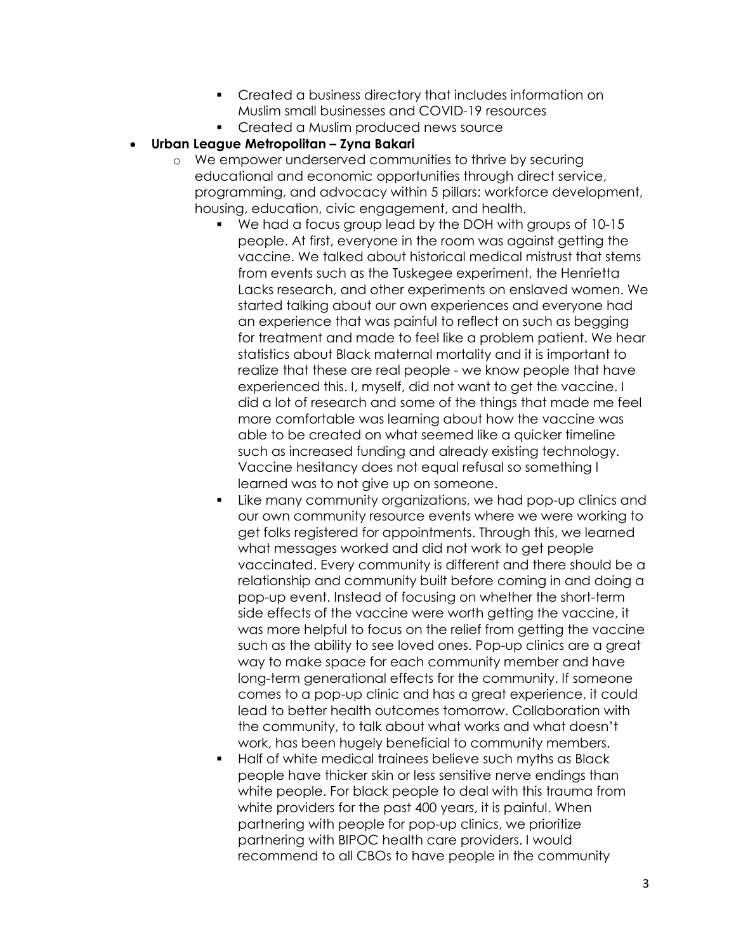- Created a business directory that includes information on Muslim small businesses and COVID-19 resources
- **•** Created a Muslim produced news source
- Urban League Metropolitan Zyna Bakari
	- o We empower underserved communities to thrive by securing educational and economic opportunities through direct service, programming, and advocacy within 5 pillars: workforce development, housing, education, civic engagement, and health.
		- We had a focus group lead by the DOH with groups of 10-15 people. At first, everyone in the room was against getting the vaccine. We talked about historical medical mistrust that stems from events such as the Tuskegee experiment, the Henrietta Lacks research, and other experiments on enslaved women. We started talking about our own experiences and everyone had an experience that was painful to reflect on such as begging for treatment and made to feel like a problem patient. We hear statistics about Black maternal mortality and it is important to realize that these are real people - we know people that have experienced this. I, myself, did not want to get the vaccine. I did a lot of research and some of the things that made me feel more comfortable was learning about how the vaccine was able to be created on what seemed like a quicker timeline such as increased funding and already existing technology. Vaccine hesitancy does not equal refusal so something I learned was to not give up on someone.
		- **EXECT** Like many community organizations, we had pop-up clinics and our own community resource events where we were working to get folks registered for appointments. Through this, we learned what messages worked and did not work to get people vaccinated. Every community is different and there should be a relationship and community built before coming in and doing a pop-up event. Instead of focusing on whether the short-term side effects of the vaccine were worth getting the vaccine, it was more helpful to focus on the relief from getting the vaccine such as the ability to see loved ones. Pop-up clinics are a great way to make space for each community member and have long-term generational effects for the community. If someone comes to a pop-up clinic and has a great experience, it could lead to better health outcomes tomorrow. Collaboration with the community, to talk about what works and what doesn't work, has been hugely beneficial to community members.
		- **Half of white medical trainees believe such myths as Black** people have thicker skin or less sensitive nerve endings than white people. For black people to deal with this trauma from white providers for the past 400 years, it is painful. When partnering with people for pop-up clinics, we prioritize partnering with BIPOC health care providers. I would recommend to all CBOs to have people in the community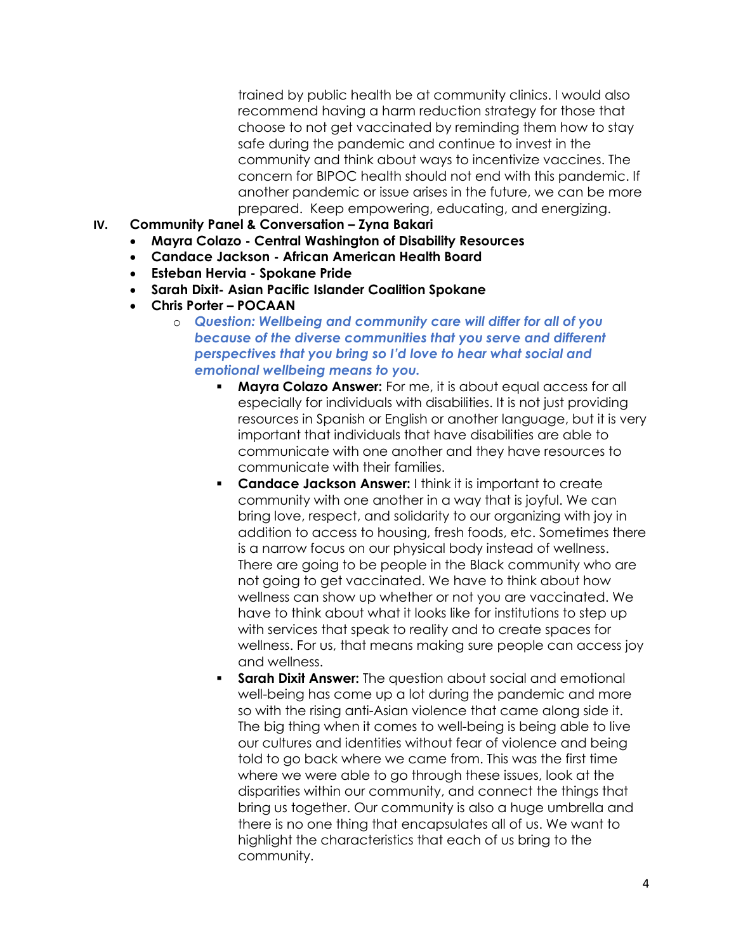trained by public health be at community clinics. I would also recommend having a harm reduction strategy for those that choose to not get vaccinated by reminding them how to stay safe during the pandemic and continue to invest in the community and think about ways to incentivize vaccines. The concern for BIPOC health should not end with this pandemic. If another pandemic or issue arises in the future, we can be more prepared. Keep empowering, educating, and energizing.

- IV. Community Panel & Conversation Zyna Bakari
	- Mayra Colazo Central Washington of Disability Resources
	- Candace Jackson African American Health Board
	- Esteban Hervia Spokane Pride
	- Sarah Dixit- Asian Pacific Islander Coalition Spokane
	- Chris Porter POCAAN
		- o Question: Wellbeing and community care will differ for all of you because of the diverse communities that you serve and different perspectives that you bring so I'd love to hear what social and emotional wellbeing means to you.
			- **Mayra Colazo Answer:** For me, it is about equal access for all especially for individuals with disabilities. It is not just providing resources in Spanish or English or another language, but it is very important that individuals that have disabilities are able to communicate with one another and they have resources to communicate with their families.
			- **Candace Jackson Answer:** I think it is important to create community with one another in a way that is joyful. We can bring love, respect, and solidarity to our organizing with joy in addition to access to housing, fresh foods, etc. Sometimes there is a narrow focus on our physical body instead of wellness. There are going to be people in the Black community who are not going to get vaccinated. We have to think about how wellness can show up whether or not you are vaccinated. We have to think about what it looks like for institutions to step up with services that speak to reality and to create spaces for wellness. For us, that means making sure people can access joy and wellness.
			- **Sarah Dixit Answer:** The question about social and emotional well-being has come up a lot during the pandemic and more so with the rising anti-Asian violence that came along side it. The big thing when it comes to well-being is being able to live our cultures and identities without fear of violence and being told to go back where we came from. This was the first time where we were able to go through these issues, look at the disparities within our community, and connect the things that bring us together. Our community is also a huge umbrella and there is no one thing that encapsulates all of us. We want to highlight the characteristics that each of us bring to the community.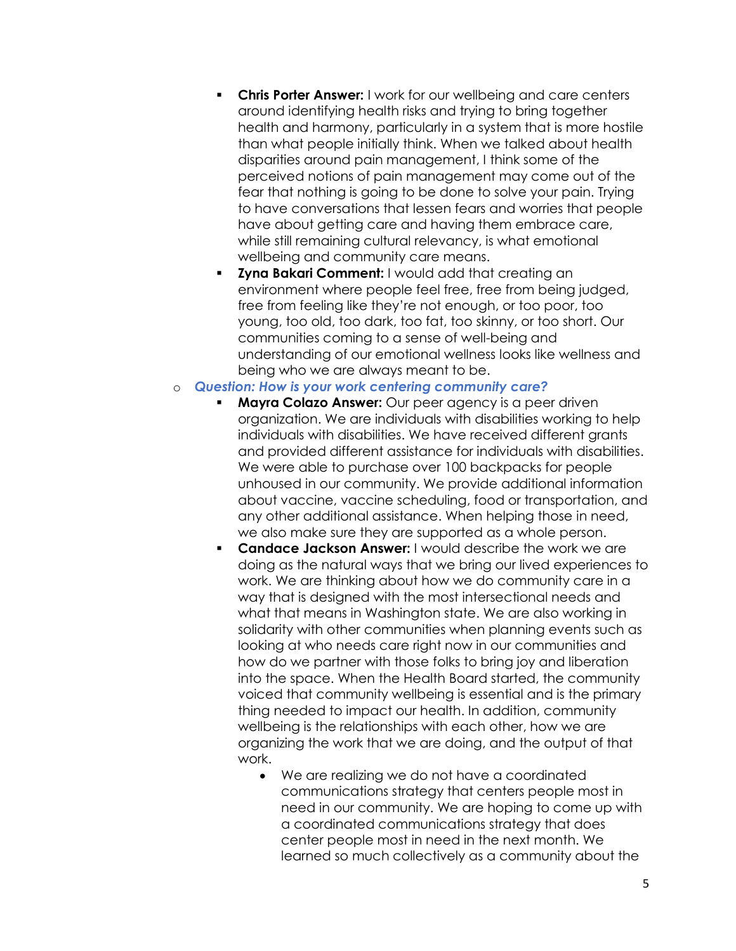- **Chris Porter Answer:** I work for our wellbeing and care centers around identifying health risks and trying to bring together health and harmony, particularly in a system that is more hostile than what people initially think. When we talked about health disparities around pain management, I think some of the perceived notions of pain management may come out of the fear that nothing is going to be done to solve your pain. Trying to have conversations that lessen fears and worries that people have about getting care and having them embrace care, while still remaining cultural relevancy, is what emotional wellbeing and community care means.
- Zyna Bakari Comment: I would add that creating an environment where people feel free, free from being judged, free from feeling like they're not enough, or too poor, too young, too old, too dark, too fat, too skinny, or too short. Our communities coming to a sense of well-being and understanding of our emotional wellness looks like wellness and being who we are always meant to be.

#### o Question: How is your work centering community care?

- Mayra Colazo Answer: Our peer agency is a peer driven organization. We are individuals with disabilities working to help individuals with disabilities. We have received different grants and provided different assistance for individuals with disabilities. We were able to purchase over 100 backpacks for people unhoused in our community. We provide additional information about vaccine, vaccine scheduling, food or transportation, and any other additional assistance. When helping those in need, we also make sure they are supported as a whole person.
- **Candace Jackson Answer: I would describe the work we are** doing as the natural ways that we bring our lived experiences to work. We are thinking about how we do community care in a way that is designed with the most intersectional needs and what that means in Washington state. We are also working in solidarity with other communities when planning events such as looking at who needs care right now in our communities and how do we partner with those folks to bring joy and liberation into the space. When the Health Board started, the community voiced that community wellbeing is essential and is the primary thing needed to impact our health. In addition, community wellbeing is the relationships with each other, how we are organizing the work that we are doing, and the output of that work.
	- We are realizing we do not have a coordinated communications strategy that centers people most in need in our community. We are hoping to come up with a coordinated communications strategy that does center people most in need in the next month. We learned so much collectively as a community about the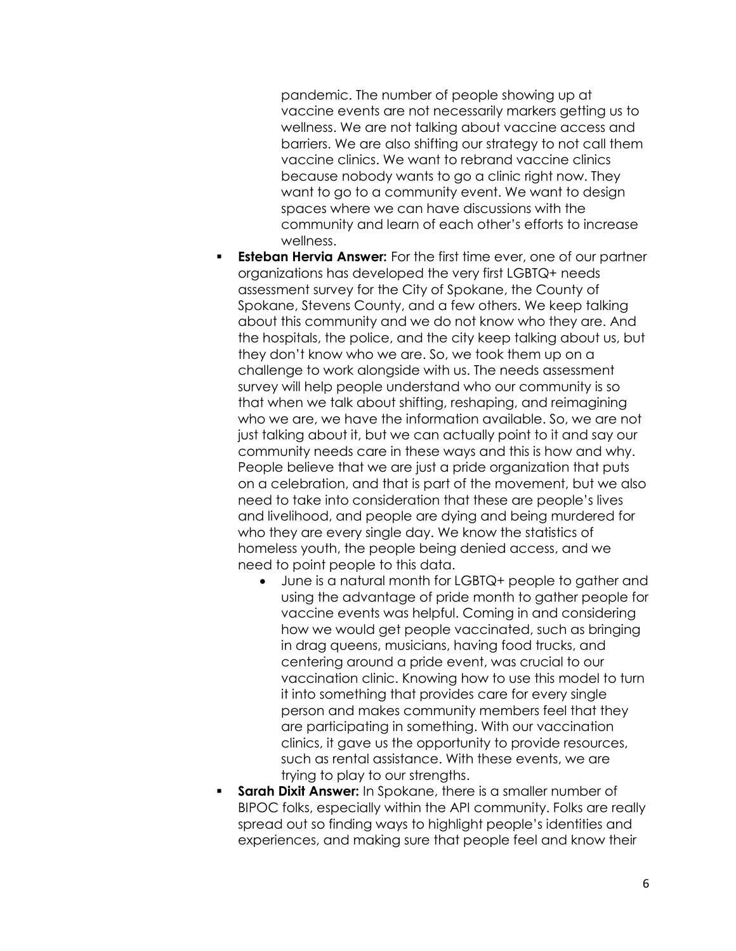pandemic. The number of people showing up at vaccine events are not necessarily markers getting us to wellness. We are not talking about vaccine access and barriers. We are also shifting our strategy to not call them vaccine clinics. We want to rebrand vaccine clinics because nobody wants to go a clinic right now. They want to go to a community event. We want to design spaces where we can have discussions with the community and learn of each other's efforts to increase wellness.

- **Esteban Hervia Answer:** For the first time ever, one of our partner organizations has developed the very first LGBTQ+ needs assessment survey for the City of Spokane, the County of Spokane, Stevens County, and a few others. We keep talking about this community and we do not know who they are. And the hospitals, the police, and the city keep talking about us, but they don't know who we are. So, we took them up on a challenge to work alongside with us. The needs assessment survey will help people understand who our community is so that when we talk about shifting, reshaping, and reimagining who we are, we have the information available. So, we are not just talking about it, but we can actually point to it and say our community needs care in these ways and this is how and why. People believe that we are just a pride organization that puts on a celebration, and that is part of the movement, but we also need to take into consideration that these are people's lives and livelihood, and people are dying and being murdered for who they are every single day. We know the statistics of homeless youth, the people being denied access, and we need to point people to this data.
	- June is a natural month for LGBTQ+ people to gather and using the advantage of pride month to gather people for vaccine events was helpful. Coming in and considering how we would get people vaccinated, such as bringing in drag queens, musicians, having food trucks, and centering around a pride event, was crucial to our vaccination clinic. Knowing how to use this model to turn it into something that provides care for every single person and makes community members feel that they are participating in something. With our vaccination clinics, it gave us the opportunity to provide resources, such as rental assistance. With these events, we are trying to play to our strengths.
- **Sarah Dixit Answer:** In Spokane, there is a smaller number of BIPOC folks, especially within the API community. Folks are really spread out so finding ways to highlight people's identities and experiences, and making sure that people feel and know their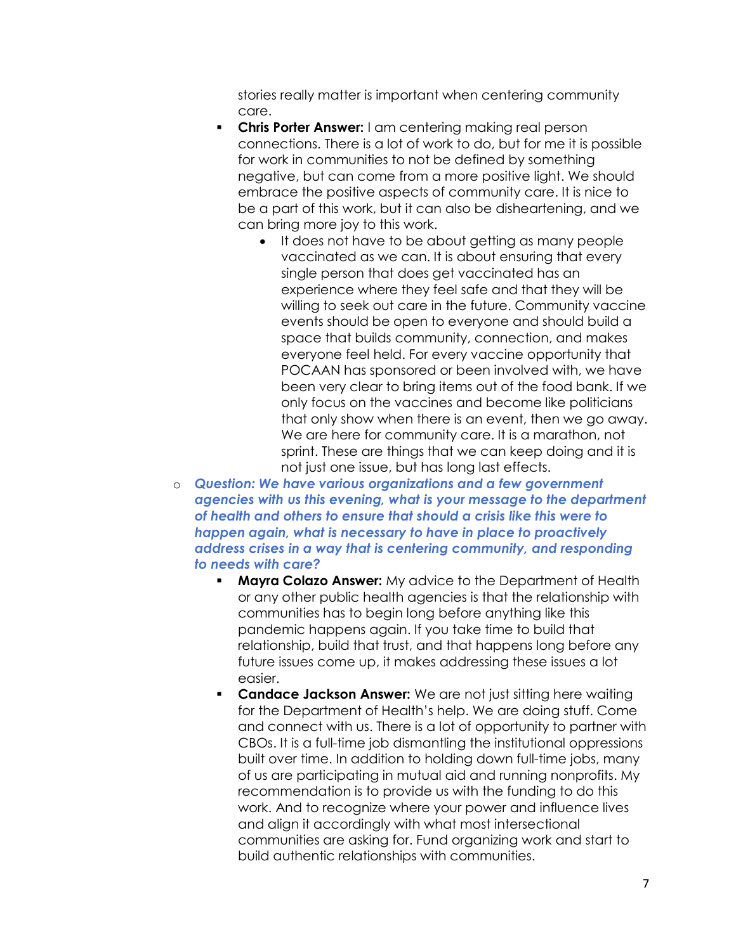stories really matter is important when centering community care.

- **Chris Porter Answer:** I am centering making real person connections. There is a lot of work to do, but for me it is possible for work in communities to not be defined by something negative, but can come from a more positive light. We should embrace the positive aspects of community care. It is nice to be a part of this work, but it can also be disheartening, and we can bring more joy to this work.
	- It does not have to be about getting as many people vaccinated as we can. It is about ensuring that every single person that does get vaccinated has an experience where they feel safe and that they will be willing to seek out care in the future. Community vaccine events should be open to everyone and should build a space that builds community, connection, and makes everyone feel held. For every vaccine opportunity that POCAAN has sponsored or been involved with, we have been very clear to bring items out of the food bank. If we only focus on the vaccines and become like politicians that only show when there is an event, then we go away. We are here for community care. It is a marathon, not sprint. These are things that we can keep doing and it is not just one issue, but has long last effects.

o Question: We have various organizations and a few government agencies with us this evening, what is your message to the department of health and others to ensure that should a crisis like this were to happen again, what is necessary to have in place to proactively address crises in a way that is centering community, and responding to needs with care?

- Mayra Colazo Answer: My advice to the Department of Health or any other public health agencies is that the relationship with communities has to begin long before anything like this pandemic happens again. If you take time to build that relationship, build that trust, and that happens long before any future issues come up, it makes addressing these issues a lot easier.
- **Candace Jackson Answer:** We are not just sitting here waiting for the Department of Health's help. We are doing stuff. Come and connect with us. There is a lot of opportunity to partner with CBOs. It is a full-time job dismantling the institutional oppressions built over time. In addition to holding down full-time jobs, many of us are participating in mutual aid and running nonprofits. My recommendation is to provide us with the funding to do this work. And to recognize where your power and influence lives and align it accordingly with what most intersectional communities are asking for. Fund organizing work and start to build authentic relationships with communities.